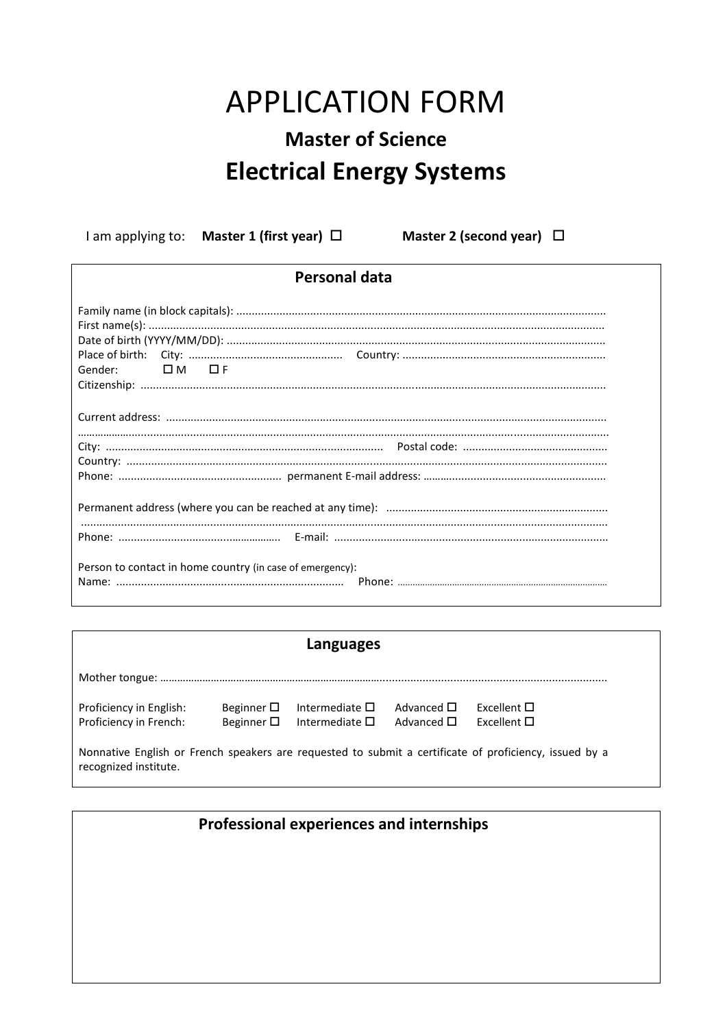## **APPLICATION FORM Master of Science Electrical Energy Systems**

I am applying to: Master 1 (first year) □ Master 2 (second year) □

| <b>Personal data</b>                                                                                                                                                                                                                                                                                                                                                                                                                                                                         |  |  |  |  |  |
|----------------------------------------------------------------------------------------------------------------------------------------------------------------------------------------------------------------------------------------------------------------------------------------------------------------------------------------------------------------------------------------------------------------------------------------------------------------------------------------------|--|--|--|--|--|
| $First name(s): \begin{equation} \begin{equation} \sum_{i=1}^{n} \left\{ \begin{array}{rcl} \sum_{i=1}^{n} \left\{ \begin{array}{rcl} \sum_{i=1}^{n} \left\{ \begin{array}{rcl} \sum_{i=1}^{n} \left\{ \begin{array}{rcl} \sum_{i=1}^{n} \left\{ \begin{array}{rcl} \sum_{i=1}^{n} \left\{ \begin{array}{rcl} \sum_{i=1}^{n} \left\{ \begin{array}{rcl} \sum_{i=1}^{n} \left\{ \begin{array}{rcl} \sum_{i=1}^{n} \left\{ \begin{array}{rcl} \sum_{i=1$<br>$\square$ M $\square$ F<br>Gender: |  |  |  |  |  |
|                                                                                                                                                                                                                                                                                                                                                                                                                                                                                              |  |  |  |  |  |
|                                                                                                                                                                                                                                                                                                                                                                                                                                                                                              |  |  |  |  |  |
|                                                                                                                                                                                                                                                                                                                                                                                                                                                                                              |  |  |  |  |  |
|                                                                                                                                                                                                                                                                                                                                                                                                                                                                                              |  |  |  |  |  |
|                                                                                                                                                                                                                                                                                                                                                                                                                                                                                              |  |  |  |  |  |
| Person to contact in home country (in case of emergency):                                                                                                                                                                                                                                                                                                                                                                                                                                    |  |  |  |  |  |

| Languages                                                                                                                       |                                          |                                                  |                                          |                                         |  |  |
|---------------------------------------------------------------------------------------------------------------------------------|------------------------------------------|--------------------------------------------------|------------------------------------------|-----------------------------------------|--|--|
|                                                                                                                                 |                                          |                                                  |                                          |                                         |  |  |
| Proficiency in English:<br>Proficiency in French:                                                                               | Beginner $\square$<br>Beginner $\square$ | Intermediate $\square$<br>Intermediate $\square$ | Advanced $\square$<br>Advanced $\square$ | Excellent $\square$<br>Excellent $\Box$ |  |  |
| Nonnative English or French speakers are requested to submit a certificate of proficiency, issued by a<br>recognized institute. |                                          |                                                  |                                          |                                         |  |  |

## Professional experiences and internships